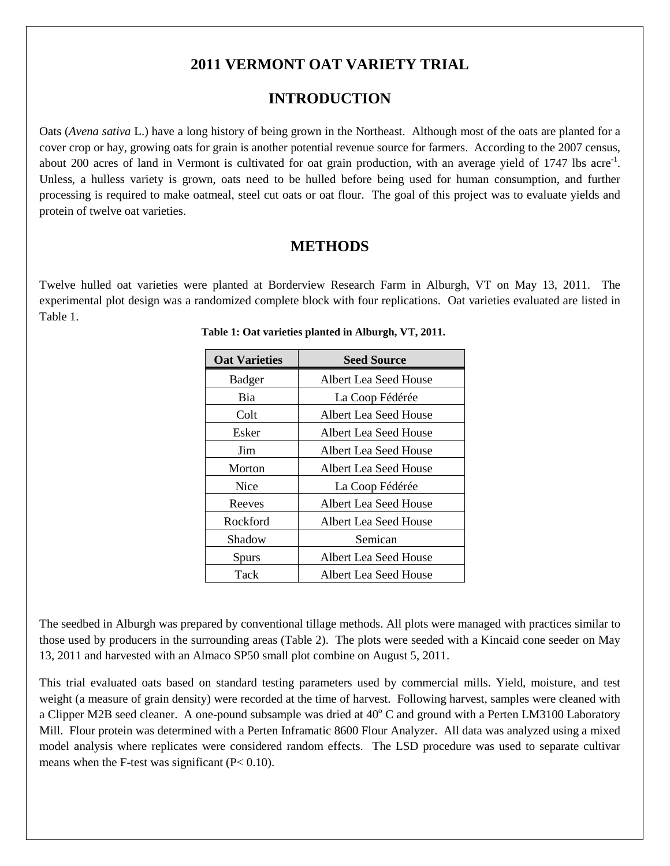## **2011 VERMONT OAT VARIETY TRIAL**

## **INTRODUCTION**

Oats (*Avena sativa* L.) have a long history of being grown in the Northeast. Although most of the oats are planted for a cover crop or hay, growing oats for grain is another potential revenue source for farmers. According to the 2007 census, about 200 acres of land in Vermont is cultivated for oat grain production, with an average yield of 1747 lbs acre<sup>-1</sup>. Unless, a hulless variety is grown, oats need to be hulled before being used for human consumption, and further processing is required to make oatmeal, steel cut oats or oat flour. The goal of this project was to evaluate yields and protein of twelve oat varieties.

### **METHODS**

Twelve hulled oat varieties were planted at Borderview Research Farm in Alburgh, VT on May 13, 2011. The experimental plot design was a randomized complete block with four replications. Oat varieties evaluated are listed in Table 1.

| <b>Oat Varieties</b> | <b>Seed Source</b>    |
|----------------------|-----------------------|
| Badger               | Albert Lea Seed House |
| Bia                  | La Coop Fédérée       |
| Colt                 | Albert Lea Seed House |
| Esker                | Albert Lea Seed House |
| Jim                  | Albert Lea Seed House |
| Morton               | Albert Lea Seed House |
| <b>Nice</b>          | La Coop Fédérée       |
| Reeves               | Albert Lea Seed House |
| Rockford             | Albert Lea Seed House |
| Shadow               | Semican               |
| Spurs                | Albert Lea Seed House |
| Tack                 | Albert Lea Seed House |

|  |  | Table 1: Oat varieties planted in Alburgh, VT, 2011. |  |  |
|--|--|------------------------------------------------------|--|--|
|  |  |                                                      |  |  |

The seedbed in Alburgh was prepared by conventional tillage methods. All plots were managed with practices similar to those used by producers in the surrounding areas (Table 2). The plots were seeded with a Kincaid cone seeder on May 13, 2011 and harvested with an Almaco SP50 small plot combine on August 5, 2011.

This trial evaluated oats based on standard testing parameters used by commercial mills. Yield, moisture, and test weight (a measure of grain density) were recorded at the time of harvest. Following harvest, samples were cleaned with a Clipper M2B seed cleaner. A one-pound subsample was dried at  $40^{\circ}$ C and ground with a Perten LM3100 Laboratory Mill. Flour protein was determined with a Perten Inframatic 8600 Flour Analyzer. All data was analyzed using a mixed model analysis where replicates were considered random effects. The LSD procedure was used to separate cultivar means when the F-test was significant  $(P< 0.10)$ .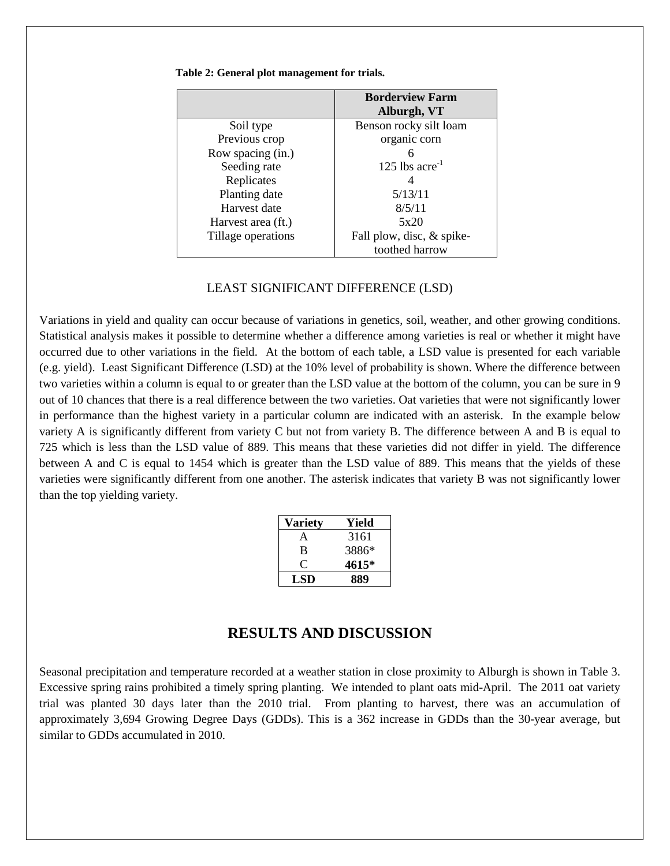|                    | <b>Borderview Farm</b><br>Alburgh, VT |
|--------------------|---------------------------------------|
| Soil type          | Benson rocky silt loam                |
| Previous crop      | organic corn                          |
| Row spacing (in.)  | 6                                     |
| Seeding rate       | 125 lbs $\arccos 1$                   |
| Replicates         | 4                                     |
| Planting date      | 5/13/11                               |
| Harvest date       | 8/5/11                                |
| Harvest area (ft.) | 5x20                                  |
| Tillage operations | Fall plow, disc, & spike-             |
|                    | toothed harrow                        |

#### **Table 2: General plot management for trials.**

#### LEAST SIGNIFICANT DIFFERENCE (LSD)

Variations in yield and quality can occur because of variations in genetics, soil, weather, and other growing conditions. Statistical analysis makes it possible to determine whether a difference among varieties is real or whether it might have occurred due to other variations in the field. At the bottom of each table, a LSD value is presented for each variable (e.g. yield). Least Significant Difference (LSD) at the 10% level of probability is shown. Where the difference between two varieties within a column is equal to or greater than the LSD value at the bottom of the column, you can be sure in 9 out of 10 chances that there is a real difference between the two varieties. Oat varieties that were not significantly lower in performance than the highest variety in a particular column are indicated with an asterisk. In the example below variety A is significantly different from variety C but not from variety B. The difference between A and B is equal to 725 which is less than the LSD value of 889. This means that these varieties did not differ in yield. The difference between A and C is equal to 1454 which is greater than the LSD value of 889. This means that the yields of these varieties were significantly different from one another. The asterisk indicates that variety B was not significantly lower than the top yielding variety.

| Variety | Yield |
|---------|-------|
| A       | 3161  |
| B       | 3886* |
| . .     | 4615* |
| LSD     | 889   |

### **RESULTS AND DISCUSSION**

Seasonal precipitation and temperature recorded at a weather station in close proximity to Alburgh is shown in Table 3. Excessive spring rains prohibited a timely spring planting. We intended to plant oats mid-April. The 2011 oat variety trial was planted 30 days later than the 2010 trial. From planting to harvest, there was an accumulation of approximately 3,694 Growing Degree Days (GDDs). This is a 362 increase in GDDs than the 30-year average, but similar to GDDs accumulated in 2010.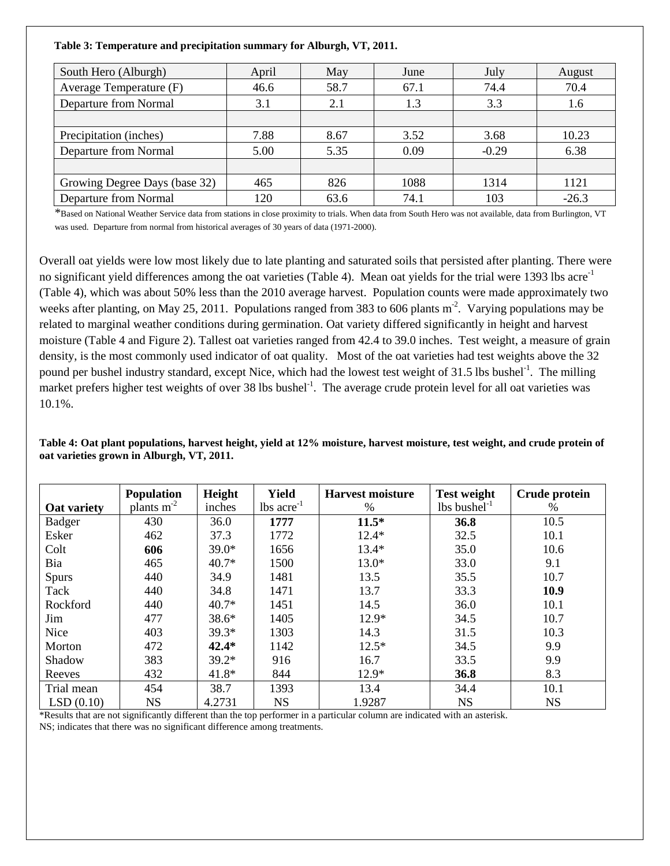**Table 3: Temperature and precipitation summary for Alburgh, VT, 2011.**

| South Hero (Alburgh)          | April | May  | June | July    | August  |  |
|-------------------------------|-------|------|------|---------|---------|--|
| Average Temperature (F)       | 46.6  | 58.7 | 67.1 | 74.4    | 70.4    |  |
| Departure from Normal         | 3.1   | 2.1  | 1.3  | 3.3     | 1.6     |  |
|                               |       |      |      |         |         |  |
| Precipitation (inches)        | 7.88  | 8.67 | 3.52 | 3.68    | 10.23   |  |
| Departure from Normal         | 5.00  | 5.35 | 0.09 | $-0.29$ | 6.38    |  |
|                               |       |      |      |         |         |  |
| Growing Degree Days (base 32) | 465   | 826  | 1088 | 1314    | 1121    |  |
| Departure from Normal         | 120   | 63.6 | 74.1 | 103     | $-26.3$ |  |

\*Based on National Weather Service data from stations in close proximity to trials. When data from South Hero was not available, data from Burlington, VT was used. Departure from normal from historical averages of 30 years of data (1971-2000).

Overall oat yields were low most likely due to late planting and saturated soils that persisted after planting. There were no significant yield differences among the oat varieties (Table 4). Mean oat yields for the trial were 1393 lbs acre<sup>-1</sup> (Table 4), which was about 50% less than the 2010 average harvest. Population counts were made approximately two weeks after planting, on May 25, 2011. Populations ranged from 383 to 606 plants  $m<sup>2</sup>$ . Varying populations may be related to marginal weather conditions during germination. Oat variety differed significantly in height and harvest moisture (Table 4 and Figure 2). Tallest oat varieties ranged from 42.4 to 39.0 inches. Test weight, a measure of grain density, is the most commonly used indicator of oat quality. Most of the oat varieties had test weights above the 32 pound per bushel industry standard, except Nice, which had the lowest test weight of 31.5 lbs bushel<sup>-1</sup>. The milling market prefers higher test weights of over 38 lbs bushel<sup>-1</sup>. The average crude protein level for all oat varieties was 10.1%.

**Table 4: Oat plant populations, harvest height, yield at 12% moisture, harvest moisture, test weight, and crude protein of oat varieties grown in Alburgh, VT, 2011.** 

|               | Population   | Height  | <b>Yield</b>             | <b>Harvest moisture</b> | <b>Test weight</b>         | Crude protein |
|---------------|--------------|---------|--------------------------|-------------------------|----------------------------|---------------|
| Oat variety   | plants $m-2$ | inches  | $lbs$ acre <sup>-1</sup> | $\%$                    | $lbs$ bushel <sup>-1</sup> | %             |
| <b>Badger</b> | 430          | 36.0    | 1777                     | $11.5*$                 | 36.8                       | 10.5          |
| Esker         | 462          | 37.3    | 1772                     | $12.4*$                 | 32.5                       | 10.1          |
| Colt          | 606          | $39.0*$ | 1656                     | $13.4*$                 | 35.0                       | 10.6          |
| Bia           | 465          | $40.7*$ | 1500                     | $13.0*$                 | 33.0                       | 9.1           |
| Spurs         | 440          | 34.9    | 1481                     | 13.5                    | 35.5                       | 10.7          |
| Tack          | 440          | 34.8    | 1471                     | 13.7                    | 33.3                       | 10.9          |
| Rockford      | 440          | $40.7*$ | 1451                     | 14.5                    | 36.0                       | 10.1          |
| Jim           | 477          | $38.6*$ | 1405                     | $12.9*$                 | 34.5                       | 10.7          |
| Nice          | 403          | $39.3*$ | 1303                     | 14.3                    | 31.5                       | 10.3          |
| Morton        | 472          | $42.4*$ | 1142                     | $12.5*$                 | 34.5                       | 9.9           |
| Shadow        | 383          | $39.2*$ | 916                      | 16.7                    | 33.5                       | 9.9           |
| Reeves        | 432          | $41.8*$ | 844                      | $12.9*$                 | 36.8                       | 8.3           |
| Trial mean    | 454          | 38.7    | 1393                     | 13.4                    | 34.4                       | 10.1          |
| LSD(0.10)     | <b>NS</b>    | 4.2731  | <b>NS</b>                | 1.9287                  | <b>NS</b>                  | <b>NS</b>     |

\*Results that are not significantly different than the top performer in a particular column are indicated with an asterisk. NS; indicates that there was no significant difference among treatments.